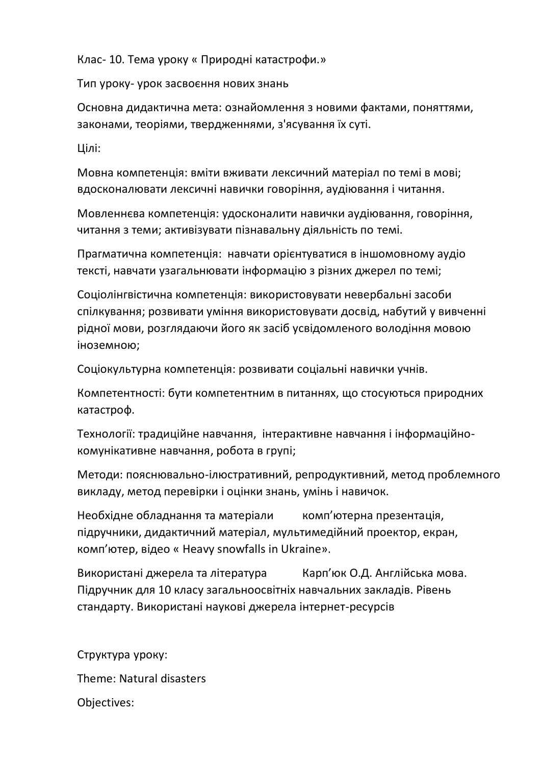Клас- 10. Тема уроку « Природні катастрофи.»

Тип уроку- урок засвоєння нових знань

Основна дидактична мета: ознайомлення з новими фактами, поняттями, законами, теоріями, твердженнями, з'ясування їх суті.

Цілі:

Мовна компетенція: вміти вживати лексичний матеріал по темі в мові; вдосконалювати лексичні навички говоріння, аудіювання і читання.

Мовленнєва компетенція: удосконалити навички аудіювання, говоріння, читання з теми; активізувати пізнавальну діяльність по темі.

Прагматична компетенція: навчати орієнтуватися в іншомовному аудіо тексті, навчати узагальнювати інформацію з різних джерел по темі;

Соціолінгвістична компетенція: використовувати невербальні засоби спілкування; розвивати уміння використовувати досвід, набутий у вивченні рідної мови, розглядаючи його як засіб усвідомленого володіння мовою іноземною;

Соціокультурна компетенція: розвивати соціальні навички учнів.

Компетентності: бути компетентним в питаннях, що стосуються природних катастроф.

Технології: традиційне навчання, інтерактивне навчання і інформаційнокомунікативне навчання, робота в групі;

Методи: пояснювально-ілюстративний, репродуктивний, метод проблемного викладу, метод перевірки і оцінки знань, умінь і навичок.

Необхідне обладнання та матеріали комп'ютерна презентація, підручники, дидактичний матеріал, мультимедійний проектор, екран, комп'ютер, відео « Heavy snowfalls in Ukraine».

Використані джерела та література Карп'юк О.Д. Англійська мова. Підручник для 10 класу загальноосвітніх навчальних закладів. Рівень стандарту. Використані наукові джерела інтернет-ресурсів

Структура уроку: Theme: Natural disasters Objectives: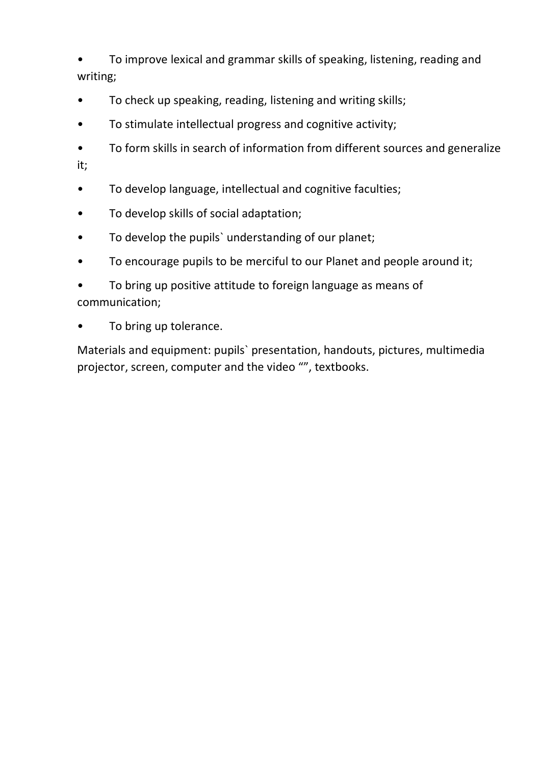• To improve lexical and grammar skills of speaking, listening, reading and writing;

- To check up speaking, reading, listening and writing skills;
- To stimulate intellectual progress and cognitive activity;
- To form skills in search of information from different sources and generalize it;
- To develop language, intellectual and cognitive faculties;
- To develop skills of social adaptation;
- To develop the pupils` understanding of our planet;
- To encourage pupils to be merciful to our Planet and people around it;
- To bring up positive attitude to foreign language as means of communication;
- To bring up tolerance.

Materials and equipment: pupils` presentation, handouts, pictures, multimedia projector, screen, computer and the video "", textbooks.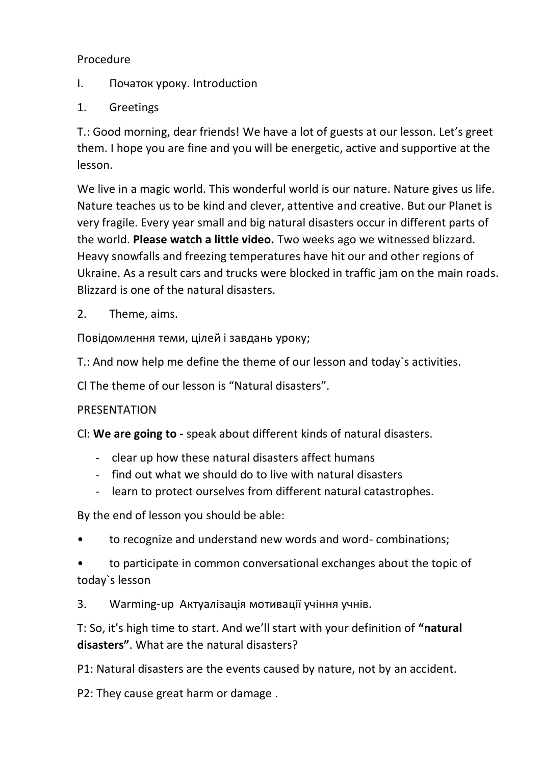## Procedure

- I. Початок уроку. Introduction
- 1. Greetings

T.: Good morning, dear friends! We have a lot of guests at our lesson. Let's greet them. I hope you are fine and you will be energetic, active and supportive at the lesson.

We live in a magic world. This wonderful world is our nature. Nature gives us life. Nature teaches us to be kind and clever, attentive and creative. But our Planet is very fragile. Every year small and big natural disasters occur in different parts of the world. **Please watch a little video.** Two weeks ago we witnessed blizzard. Heavy snowfalls and freezing temperatures have hit our and other regions of Ukraine. As a result cars and trucks were blocked in traffic jam on the main roads. Blizzard is one of the natural disasters.

2. Theme, aims.

Повідомлення теми, цілей і завдань уроку;

T.: And now help me define the theme of our lesson and today`s activities.

Cl The theme of our lesson is "Natural disasters".

## PRESENTATION

Cl: **We are going to -** speak about different kinds of natural disasters.

- clear up how these natural disasters affect humans
- find out what we should do to live with natural disasters
- learn to protect ourselves from different natural catastrophes.

By the end of lesson you should be able:

- to recognize and understand new words and word- combinations;
- to participate in common conversational exchanges about the topic of today`s lesson

3. Warming-up Актуалізація мотивації учіння учнів.

T: So, it's high time to start. And we'll start with your definition of **"natural disasters"**. What are the natural disasters?

P1: Natural disasters are the events caused by nature, not by an accident.

P2: They cause great harm or damage .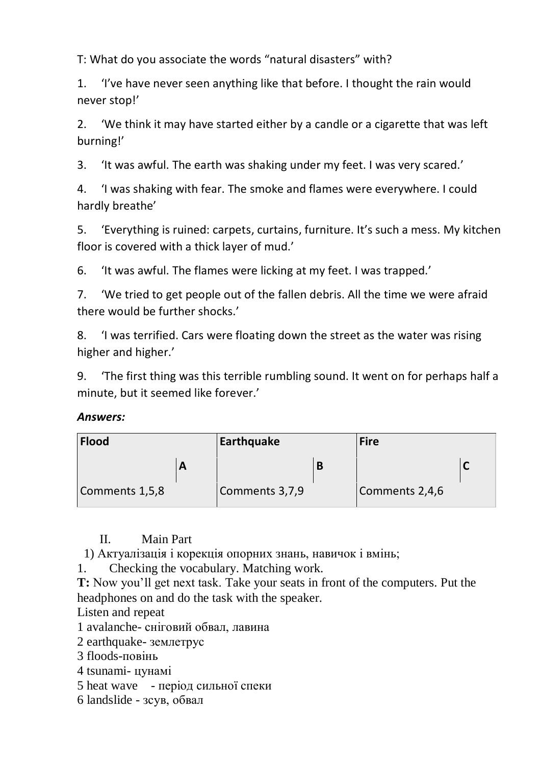T: What do you associate the words "natural disasters" with?

1. 'I've have never seen anything like that before. I thought the rain would never stop!'

2. 'We think it may have started either by a candle or a cigarette that was left burning!'

3. 'It was awful. The earth was shaking under my feet. I was very scared.'

4. 'I was shaking with fear. The smoke and flames were everywhere. I could hardly breathe'

5. 'Everything is ruined: carpets, curtains, furniture. It's such a mess. My kitchen floor is covered with a thick layer of mud.'

6. 'It was awful. The flames were licking at my feet. I was trapped.'

7. 'We tried to get people out of the fallen debris. All the time we were afraid there would be further shocks.'

8. 'I was terrified. Cars were floating down the street as the water was rising higher and higher.'

9. 'The first thing was this terrible rumbling sound. It went on for perhaps half a minute, but it seemed like forever.'

## *Answers:*

| <b>Flood</b>   |   | Earthquake     |  | <b>Fire</b>    |  |
|----------------|---|----------------|--|----------------|--|
|                | A |                |  |                |  |
| Comments 1,5,8 |   | Comments 3,7,9 |  | Comments 2,4,6 |  |

II. Main Part

1) Актуалізація і корекція опорних знань, навичок і вмінь;

1. Checking the vocabulary. Matching work.

**T:** Now you'll get next task. Take your seats in front of the computers. Put the headphones on and do the task with the speaker.

Listen and repeat

1 avalanche- сніговий обвал, лавина

2 earthquake- землетрус

3 floods-повінь

4 tsunami- цунамі

5 heat wave - період сильної спеки

6 landslide - зсув, обвал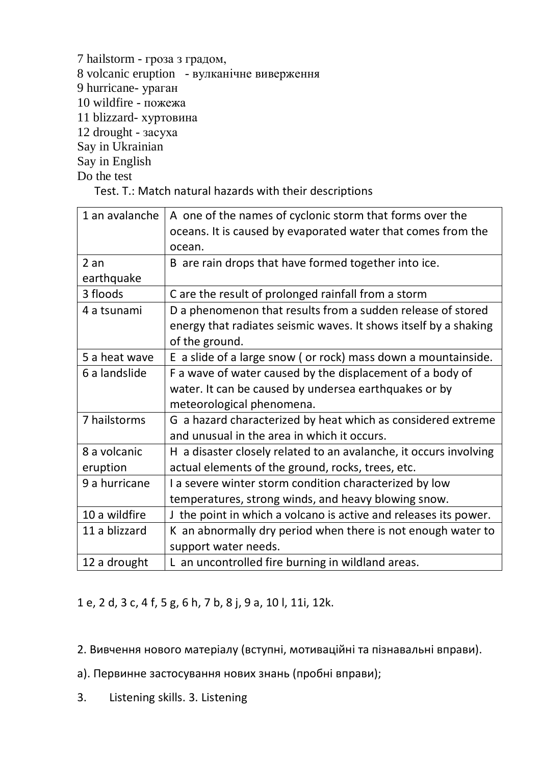7 hailstorm - гроза з градом, 8 volcanic eruption - вулканічне виверження 9 hurricane- ураган 10 wildfire - пожежа 11 blizzard- хуртовина 12 drought - засуха Say in Ukrainian Say in English Do the test

Test. T.: Match natural hazards with their descriptions

| 1 an avalanche | A one of the names of cyclonic storm that forms over the          |
|----------------|-------------------------------------------------------------------|
|                | oceans. It is caused by evaporated water that comes from the      |
|                | ocean.                                                            |
| 2an            | B are rain drops that have formed together into ice.              |
| earthquake     |                                                                   |
| 3 floods       | C are the result of prolonged rainfall from a storm               |
| 4 a tsunami    | D a phenomenon that results from a sudden release of stored       |
|                | energy that radiates seismic waves. It shows itself by a shaking  |
|                | of the ground.                                                    |
| 5 a heat wave  | E a slide of a large snow (or rock) mass down a mountainside.     |
| 6 a landslide  | F a wave of water caused by the displacement of a body of         |
|                | water. It can be caused by undersea earthquakes or by             |
|                | meteorological phenomena.                                         |
| 7 hailstorms   | G a hazard characterized by heat which as considered extreme      |
|                | and unusual in the area in which it occurs.                       |
| 8 a volcanic   | H a disaster closely related to an avalanche, it occurs involving |
| eruption       | actual elements of the ground, rocks, trees, etc.                 |
| 9 a hurricane  | I a severe winter storm condition characterized by low            |
|                | temperatures, strong winds, and heavy blowing snow.               |
| 10 a wildfire  | J the point in which a volcano is active and releases its power.  |
| 11 a blizzard  | K an abnormally dry period when there is not enough water to      |
|                | support water needs.                                              |
| 12 a drought   | L an uncontrolled fire burning in wildland areas.                 |

1 e, 2 d, 3 c, 4 f, 5 g, 6 h, 7 b, 8 j, 9 a, 10 l, 11i, 12k.

2. Вивчення нового матеріалу (вступні, мотиваційні та пізнавальні вправи).

а). Первинне застосування нових знань (пробні вправи);

3. Listening skills. 3. Listening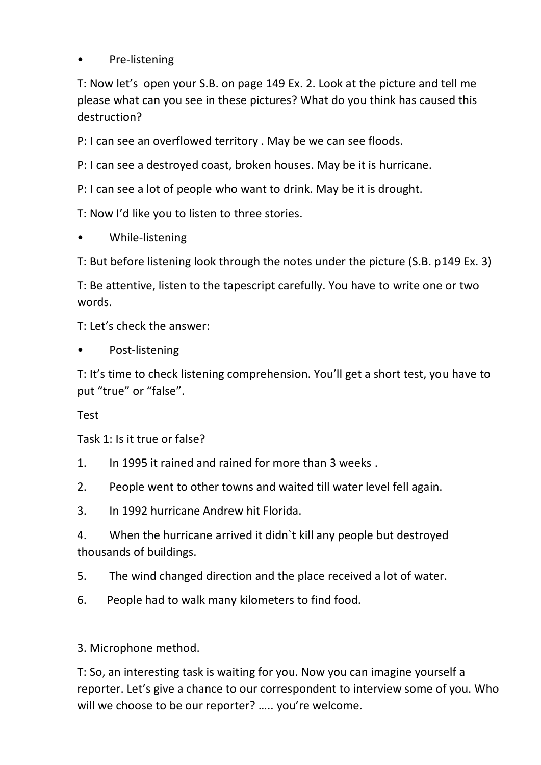Pre-listening

T: Now let's open your S.B. on page 149 Ex. 2. Look at the picture and tell me please what can you see in these pictures? What do you think has caused this destruction?

P: I can see an overflowed territory . May be we can see floods.

P: I can see a destroyed coast, broken houses. May be it is hurricane.

P: I can see a lot of people who want to drink. May be it is drought.

T: Now I'd like you to listen to three stories.

• While-listening

T: But before listening look through the notes under the picture (S.B. p149 Ex. 3)

T: Be attentive, listen to the tapescript carefully. You have to write one or two words.

T: Let's check the answer:

Post-listening

T: It's time to check listening comprehension. You'll get a short test, you have to put "true" or "false".

Test

Task 1: Is it true or false?

1. In 1995 it rained and rained for more than 3 weeks .

2. People went to other towns and waited till water level fell again.

3. In 1992 hurricane Andrew hit Florida.

4. When the hurricane arrived it didn`t kill any people but destroyed thousands of buildings.

5. The wind changed direction and the place received a lot of water.

6. People had to walk many kilometers to find food.

3. Microphone method.

T: So, an interesting task is waiting for you. Now you can imagine yourself a reporter. Let's give a chance to our correspondent to interview some of you. Who will we choose to be our reporter? ….. you're welcome.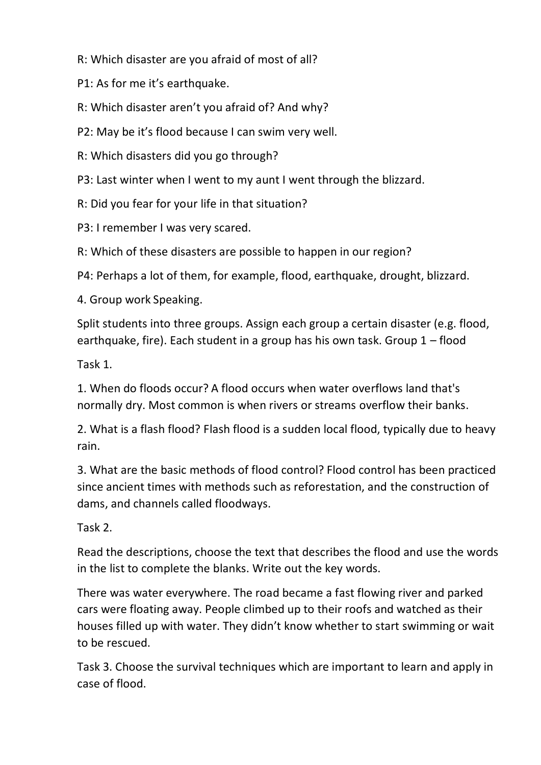R: Which disaster are you afraid of most of all?

P1: As for me it's earthquake.

R: Which disaster aren't you afraid of? And why?

P2: May be it's flood because I can swim very well.

R: Which disasters did you go through?

P3: Last winter when I went to my aunt I went through the blizzard.

R: Did you fear for your life in that situation?

P3: I remember I was very scared.

R: Which of these disasters are possible to happen in our region?

P4: Perhaps a lot of them, for example, flood, earthquake, drought, blizzard.

4. Group work Speaking.

Split students into three groups. Assign each group a certain disaster (e.g. flood, earthquake, fire). Each student in a group has his own task. Group 1 – flood

Task 1.

1. When do floods occur? A flood occurs when water overflows land that's normally dry. Most common is when rivers or streams overflow their banks.

2. What is a flash flood? Flash flood is a sudden local flood, typically due to heavy rain.

3. What are the basic methods of flood control? Flood control has been practiced since ancient times with methods such as reforestation, and the construction of dams, and channels called floodways.

Task 2.

Read the descriptions, choose the text that describes the flood and use the words in the list to complete the blanks. Write out the key words.

There was water everywhere. The road became a fast flowing river and parked cars were floating away. People climbed up to their roofs and watched as their houses filled up with water. They didn't know whether to start swimming or wait to be rescued.

Task 3. Choose the survival techniques which are important to learn and apply in case of flood.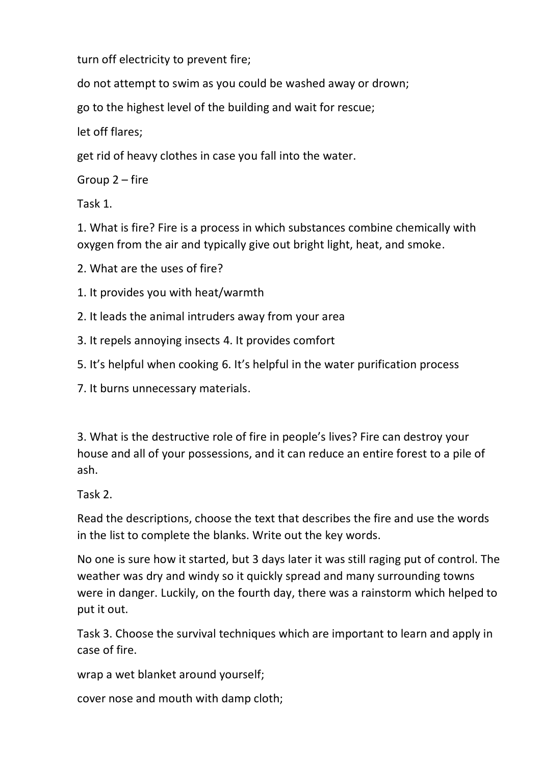turn off electricity to prevent fire;

do not attempt to swim as you could be washed away or drown;

go to the highest level of the building and wait for rescue;

let off flares;

get rid of heavy clothes in case you fall into the water.

Group 2 – fire

Task 1.

1. What is fire? Fire is a process in which substances combine chemically with oxygen from the air and typically give out bright light, heat, and smoke.

2. What are the uses of fire?

1. It provides you with heat/warmth

2. It leads the animal intruders away from your area

3. It repels annoying insects 4. It provides comfort

5. It's helpful when cooking 6. It's helpful in the water purification process

7. It burns unnecessary materials.

3. What is the destructive role of fire in people's lives? Fire can destroy your house and all of your possessions, and it can reduce an entire forest to a pile of ash.

Task 2.

Read the descriptions, choose the text that describes the fire and use the words in the list to complete the blanks. Write out the key words.

No one is sure how it started, but 3 days later it was still raging put of control. The weather was dry and windy so it quickly spread and many surrounding towns were in danger. Luckily, on the fourth day, there was a rainstorm which helped to put it out.

Task 3. Choose the survival techniques which are important to learn and apply in case of fire.

wrap a wet blanket around yourself;

cover nose and mouth with damp cloth;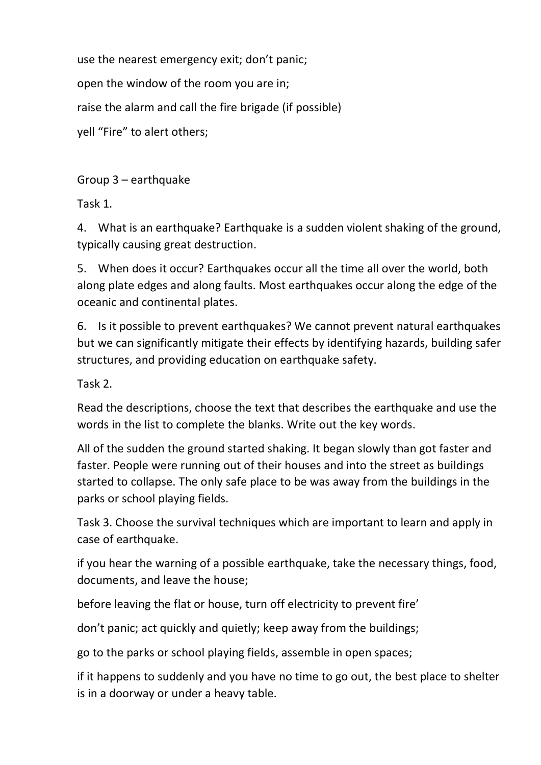use the nearest emergency exit; don't panic; open the window of the room you are in; raise the alarm and call the fire brigade (if possible) yell "Fire" to alert others;

Group 3 – earthquake

Task 1.

4. What is an earthquake? Earthquake is a sudden violent shaking of the ground, typically causing great destruction.

5. When does it occur? Earthquakes occur all the time all over the world, both along plate edges and along faults. Most earthquakes occur along the edge of the oceanic and continental plates.

6. Is it possible to prevent earthquakes? We cannot prevent natural earthquakes but we can significantly mitigate their effects by identifying hazards, building safer structures, and providing education on earthquake safety.

Task 2.

Read the descriptions, choose the text that describes the earthquake and use the words in the list to complete the blanks. Write out the key words.

All of the sudden the ground started shaking. It began slowly than got faster and faster. People were running out of their houses and into the street as buildings started to collapse. The only safe place to be was away from the buildings in the parks or school playing fields.

Task 3. Choose the survival techniques which are important to learn and apply in case of earthquake.

if you hear the warning of a possible earthquake, take the necessary things, food, documents, and leave the house;

before leaving the flat or house, turn off electricity to prevent fire'

don't panic; act quickly and quietly; keep away from the buildings;

go to the parks or school playing fields, assemble in open spaces;

if it happens to suddenly and you have no time to go out, the best place to shelter is in a doorway or under a heavy table.